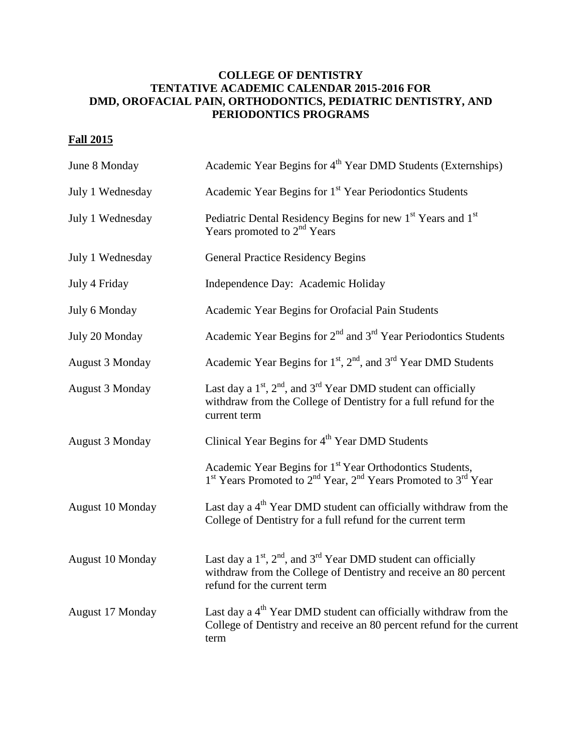## **COLLEGE OF DENTISTRY TENTATIVE ACADEMIC CALENDAR 2015-2016 FOR DMD, OROFACIAL PAIN, ORTHODONTICS, PEDIATRIC DENTISTRY, AND PERIODONTICS PROGRAMS**

## **Fall 2015**

| June 8 Monday          | Academic Year Begins for 4 <sup>th</sup> Year DMD Students (Externships)                                                                                                               |
|------------------------|----------------------------------------------------------------------------------------------------------------------------------------------------------------------------------------|
| July 1 Wednesday       | Academic Year Begins for 1 <sup>st</sup> Year Periodontics Students                                                                                                                    |
| July 1 Wednesday       | Pediatric Dental Residency Begins for new 1 <sup>st</sup> Years and 1 <sup>st</sup><br>Years promoted to 2 <sup>nd</sup> Years                                                         |
| July 1 Wednesday       | <b>General Practice Residency Begins</b>                                                                                                                                               |
| July 4 Friday          | Independence Day: Academic Holiday                                                                                                                                                     |
| July 6 Monday          | Academic Year Begins for Orofacial Pain Students                                                                                                                                       |
| July 20 Monday         | Academic Year Begins for $2nd$ and $3rd$ Year Periodontics Students                                                                                                                    |
| <b>August 3 Monday</b> | Academic Year Begins for $1st$ , $2nd$ , and $3rd$ Year DMD Students                                                                                                                   |
| <b>August 3 Monday</b> | Last day a $1st$ , $2nd$ , and $3rd$ Year DMD student can officially<br>withdraw from the College of Dentistry for a full refund for the<br>current term                               |
| <b>August 3 Monday</b> | Clinical Year Begins for 4 <sup>th</sup> Year DMD Students                                                                                                                             |
|                        | Academic Year Begins for 1 <sup>st</sup> Year Orthodontics Students,<br>1 <sup>st</sup> Years Promoted to 2 <sup>nd</sup> Year, 2 <sup>nd</sup> Years Promoted to 3 <sup>rd</sup> Year |
| August 10 Monday       | Last day a $4th$ Year DMD student can officially withdraw from the<br>College of Dentistry for a full refund for the current term                                                      |
| August 10 Monday       | Last day a $1st$ , $2nd$ , and $3rd$ Year DMD student can officially<br>withdraw from the College of Dentistry and receive an 80 percent<br>refund for the current term                |
| August 17 Monday       | Last day a $4th$ Year DMD student can officially withdraw from the<br>College of Dentistry and receive an 80 percent refund for the current<br>term                                    |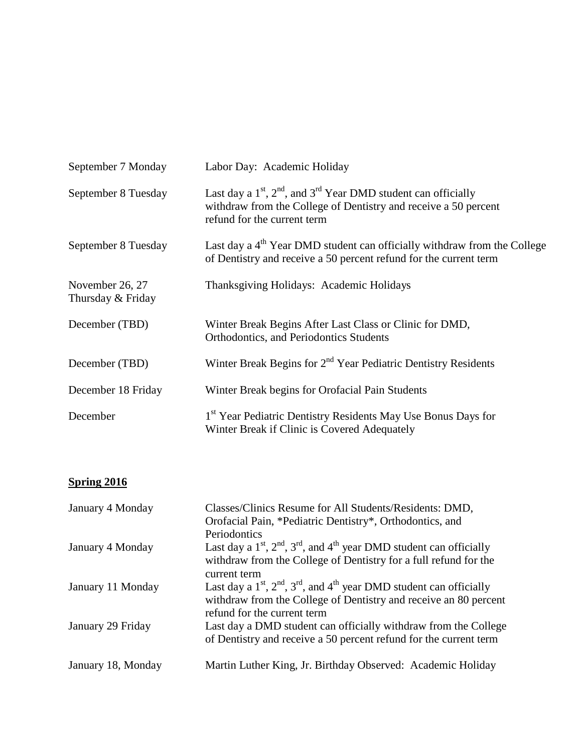| September 7 Monday                   | Labor Day: Academic Holiday                                                                                                                                            |
|--------------------------------------|------------------------------------------------------------------------------------------------------------------------------------------------------------------------|
| September 8 Tuesday                  | Last day a $1st$ , $2nd$ , and $3rd$ Year DMD student can officially<br>withdraw from the College of Dentistry and receive a 50 percent<br>refund for the current term |
| September 8 Tuesday                  | Last day a $4th$ Year DMD student can officially withdraw from the College<br>of Dentistry and receive a 50 percent refund for the current term                        |
| November 26, 27<br>Thursday & Friday | Thanksgiving Holidays: Academic Holidays                                                                                                                               |
| December (TBD)                       | Winter Break Begins After Last Class or Clinic for DMD,<br>Orthodontics, and Periodontics Students                                                                     |
| December (TBD)                       | Winter Break Begins for 2 <sup>nd</sup> Year Pediatric Dentistry Residents                                                                                             |
| December 18 Friday                   | Winter Break begins for Orofacial Pain Students                                                                                                                        |
| December                             | 1 <sup>st</sup> Year Pediatric Dentistry Residents May Use Bonus Days for<br>Winter Break if Clinic is Covered Adequately                                              |

## **Spring 2016**

| January 4 Monday   | Classes/Clinics Resume for All Students/Residents: DMD,<br>Orofacial Pain, *Pediatric Dentistry*, Orthodontics, and<br>Periodontics                                             |
|--------------------|---------------------------------------------------------------------------------------------------------------------------------------------------------------------------------|
| January 4 Monday   | Last day a $1st$ , $2nd$ , $3rd$ , and $4th$ year DMD student can officially<br>withdraw from the College of Dentistry for a full refund for the<br>current term                |
| January 11 Monday  | Last day a $1st$ , $2nd$ , $3rd$ , and $4th$ year DMD student can officially<br>withdraw from the College of Dentistry and receive an 80 percent<br>refund for the current term |
| January 29 Friday  | Last day a DMD student can officially withdraw from the College<br>of Dentistry and receive a 50 percent refund for the current term                                            |
| January 18, Monday | Martin Luther King, Jr. Birthday Observed: Academic Holiday                                                                                                                     |